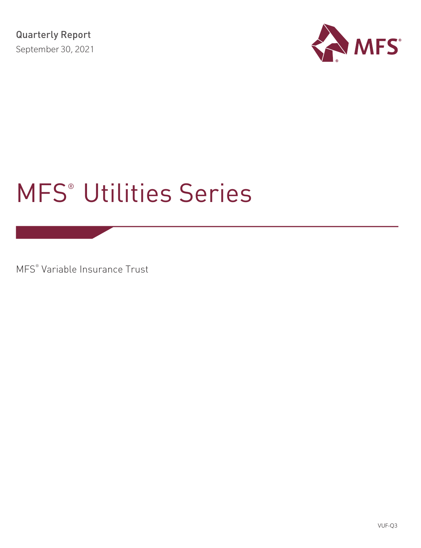

# MFS® Utilities Series

MFS® Variable Insurance Trust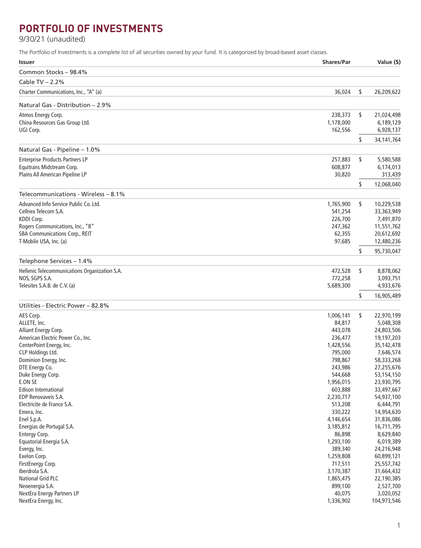# **PORTFOLIO OF INVESTMENTS**

9/30/21 (unaudited)

The Portfolio of Investments is a complete list of all securities owned by your fund. It is categorized by broad-based asset classes.

| <b>Shares/Par</b><br><b>Issuer</b>                                                    | Value (\$)               |
|---------------------------------------------------------------------------------------|--------------------------|
| Common Stocks - 98.4%                                                                 |                          |
| Cable TV $- 2.2%$                                                                     |                          |
| Charter Communications, Inc., "A" (a)<br>36,024                                       | \$<br>26,209,622         |
| Natural Gas - Distribution – 2.9%                                                     |                          |
| Atmos Energy Corp.<br>238,373                                                         | \$<br>21,024,498         |
| China Resources Gas Group Ltd.<br>1,178,000                                           | 6,189,129                |
| UGI Corp.<br>162,556                                                                  | 6,928,137                |
|                                                                                       | \$<br>34,141,764         |
| Natural Gas - Pipeline - 1.0%                                                         |                          |
| <b>Enterprise Products Partners LP</b><br>257,883                                     | \$<br>5,580,588          |
| Equitrans Midstream Corp.<br>608,877                                                  | 6,174,013                |
| Plains All American Pipeline LP<br>30,820                                             | 313,439                  |
|                                                                                       | \$<br>12,068,040         |
| Telecommunications - Wireless – 8.1%                                                  |                          |
| Advanced Info Service Public Co. Ltd.<br>1,765,900<br>Cellnex Telecom S.A.<br>541,254 | \$<br>10,229,538         |
| KDDI Corp.<br>226,700                                                                 | 33,363,949<br>7,491,870  |
| Rogers Communications, Inc., "B"<br>247,362                                           | 11,551,762               |
| SBA Communications Corp., REIT<br>62,355                                              | 20,612,692               |
| T-Mobile USA, Inc. (a)<br>97,685                                                      | 12,480,236               |
|                                                                                       | \$<br>95,730,047         |
| Telephone Services - 1.4%                                                             |                          |
| Hellenic Telecommunications Organization S.A.<br>472,528                              | \$<br>8,878,062          |
| NOS, SGPS S.A.<br>772,258                                                             | 3,093,751                |
| Telesites S.A.B. de C.V. (a)<br>5,689,300                                             | 4,933,676                |
|                                                                                       | \$<br>16,905,489         |
| Utilities - Electric Power - 82.8%                                                    |                          |
| AES Corp.<br>1,006,141                                                                | \$<br>22,970,199         |
| ALLETE, Inc.<br>84,817                                                                | 5,048,308                |
| 443,078<br>Alliant Energy Corp.                                                       | 24,803,506               |
| American Electric Power Co., Inc.<br>236,477                                          | 19,197,203               |
| CenterPoint Energy, Inc.<br>1,428,556<br>CLP Holdings Ltd.<br>795,000                 | 35,142,478<br>7,646,574  |
| Dominion Energy, Inc.<br>798,867                                                      | 58,333,268               |
| DTE Energy Co.<br>243,986                                                             | 27,255,676               |
| Duke Energy Corp.<br>544,668                                                          | 53,154,150               |
| E.ON SE<br>1,956,015                                                                  | 23,930,795               |
| Edison International<br>603,888                                                       | 33,497,667               |
| EDP Renovaveis S.A.<br>2,230,717                                                      | 54,937,100               |
| Electricite de France S.A.<br>513,208                                                 | 6,444,791                |
| 330,222<br>Emera, Inc.                                                                | 14,954,630               |
| Enel S.p.A.<br>4,146,654                                                              | 31,836,086               |
| Energias de Portugal S.A.<br>3,185,812                                                | 16,711,795               |
| Entergy Corp.<br>86,898                                                               | 8,629,840                |
| 1,293,100<br>Equatorial Energia S.A.                                                  | 6,019,389                |
| Evergy, Inc.<br>389,340<br>Exelon Corp.                                               | 24,216,948               |
| 1,259,808<br>FirstEnergy Corp.<br>717,511                                             | 60,899,121<br>25,557,742 |
| Iberdrola S.A.<br>3,170,387                                                           | 31,664,432               |
| National Grid PLC<br>1,865,475                                                        | 22,190,385               |
| Neoenergia S.A.<br>899,100                                                            | 2,527,700                |
| NextEra Energy Partners LP<br>40,075                                                  | 3,020,052                |
| NextEra Energy, Inc.<br>1,336,902                                                     | 104,973,546              |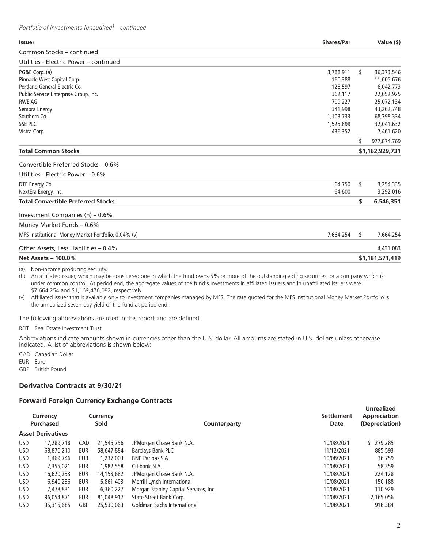| <b>Issuer</b>                                       | <b>Shares/Par</b> |    | Value (\$)      |
|-----------------------------------------------------|-------------------|----|-----------------|
| Common Stocks - continued                           |                   |    |                 |
| Utilities - Electric Power – continued              |                   |    |                 |
| PG&E Corp. (a)                                      | 3,788,911         | s. | 36,373,546      |
| Pinnacle West Capital Corp.                         | 160,388           |    | 11,605,676      |
| Portland General Electric Co.                       | 128,597           |    | 6,042,773       |
| Public Service Enterprise Group, Inc.               | 362,117           |    | 22,052,925      |
| <b>RWE AG</b>                                       | 709,227           |    | 25,072,134      |
| Sempra Energy                                       | 341,998           |    | 43,262,748      |
| Southern Co.                                        | 1,103,733         |    | 68,398,334      |
| <b>SSE PLC</b>                                      | 1,525,899         |    | 32,041,632      |
| Vistra Corp.                                        | 436,352           |    | 7,461,620       |
|                                                     |                   | \$ | 977,874,769     |
| <b>Total Common Stocks</b>                          |                   |    | \$1,162,929,731 |
| Convertible Preferred Stocks - 0.6%                 |                   |    |                 |
| Utilities - Electric Power – 0.6%                   |                   |    |                 |
| DTE Energy Co.                                      | 64,750            | s. | 3,254,335       |
| NextEra Energy, Inc.                                | 64,600            |    | 3,292,016       |
| <b>Total Convertible Preferred Stocks</b>           |                   | \$ | 6,546,351       |
| Investment Companies (h) - 0.6%                     |                   |    |                 |
| Money Market Funds - 0.6%                           |                   |    |                 |
| MFS Institutional Money Market Portfolio, 0.04% (v) | 7,664,254         | \$ | 7,664,254       |
| Other Assets, Less Liabilities - 0.4%               |                   |    | 4,431,083       |
| <b>Net Assets - 100.0%</b>                          |                   |    | \$1,181,571,419 |

(a) Non-income producing security.

(h) An affiliated issuer, which may be considered one in which the fund owns 5% or more of the outstanding voting securities, or a company which is under common control. At period end, the aggregate values of the fund's investments in affiliated issuers and in unaffiliated issuers were \$7,664,254 and \$1,169,476,082, respectively.

(v) Affiliated issuer that is available only to investment companies managed by MFS. The rate quoted for the MFS Institutional Money Market Portfolio is the annualized seven-day yield of the fund at period end.

The following abbreviations are used in this report and are defined:

REIT Real Estate Investment Trust

Abbreviations indicate amounts shown in currencies other than the U.S. dollar. All amounts are stated in U.S. dollars unless otherwise indicated. A list of abbreviations is shown below:

CAD Canadian Dollar EUR Euro

GBP British Pound

# **Derivative Contracts at 9/30/21**

# **Forward Foreign Currency Exchange Contracts**

|            | Currency<br><b>Purchased</b> |     | Currency<br>Sold | Counterparty                          | <b>Settlement</b><br>Date | <b>Unrealized</b><br>Appreciation<br>(Depreciation) |
|------------|------------------------------|-----|------------------|---------------------------------------|---------------------------|-----------------------------------------------------|
|            | <b>Asset Derivatives</b>     |     |                  |                                       |                           |                                                     |
| <b>USD</b> | 17,289,718                   | CAD | 21,545,756       | JPMorgan Chase Bank N.A.              | 10/08/2021                | \$ 279,285                                          |
| <b>USD</b> | 68,870,210                   | eur | 58,647,884       | Barclays Bank PLC                     | 11/12/2021                | 885,593                                             |
| <b>USD</b> | 1,469,746                    | EUR | 1,237,003        | <b>BNP Paribas S.A.</b>               | 10/08/2021                | 36,759                                              |
| USD.       | 2,355,021                    | EUR | 1,982,558        | Citibank N.A.                         | 10/08/2021                | 58,359                                              |
| <b>USD</b> | 16,620,233                   | EUR | 14,153,682       | JPMorgan Chase Bank N.A.              | 10/08/2021                | 224,128                                             |
| <b>USD</b> | 6.940.236                    | EUR | 5,861,403        | Merrill Lynch International           | 10/08/2021                | 150,188                                             |
| <b>USD</b> | 7,478,831                    | EUR | 6,360,227        | Morgan Stanley Capital Services, Inc. | 10/08/2021                | 110,929                                             |
| <b>USD</b> | 96,054,871                   | EUR | 81,048,917       | State Street Bank Corp.               | 10/08/2021                | 2,165,056                                           |
| USD.       | 35,315,685                   | GBP | 25,530,063       | Goldman Sachs International           | 10/08/2021                | 916,384                                             |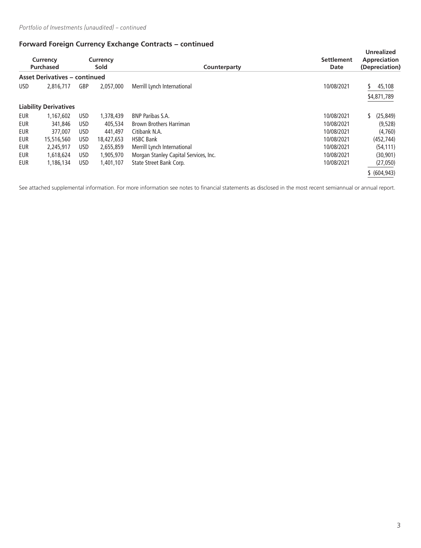# **Forward Foreign Currency Exchange Contracts − continued**

| Currency<br>Currency<br><b>Purchased</b><br><b>Sold</b> |                                      |            | Counterparty | <b>Settlement</b><br>Date             | <b>Unrealized</b><br>Appreciation<br>(Depreciation) |                            |
|---------------------------------------------------------|--------------------------------------|------------|--------------|---------------------------------------|-----------------------------------------------------|----------------------------|
|                                                         | <b>Asset Derivatives - continued</b> |            |              |                                       |                                                     |                            |
| <b>USD</b>                                              | 2,816,717                            | <b>GBP</b> | 2,057,000    | Merrill Lynch International           | 10/08/2021                                          | 45,108<br>S<br>\$4,871,789 |
|                                                         | <b>Liability Derivatives</b>         |            |              |                                       |                                                     |                            |
| <b>EUR</b>                                              | 1.167.602                            | USD        | 1,378,439    | <b>BNP Paribas S.A.</b>               | 10/08/2021                                          | (25, 849)                  |
| <b>EUR</b>                                              | 341,846                              | USD        | 405,534      | <b>Brown Brothers Harriman</b>        | 10/08/2021                                          | (9,528)                    |
| <b>EUR</b>                                              | 377,007                              | USD        | 441,497      | Citibank N.A.                         | 10/08/2021                                          | (4.760)                    |
| <b>EUR</b>                                              | 15,516,560                           | USD        | 18,427,653   | <b>HSBC Bank</b>                      | 10/08/2021                                          | (452, 744)                 |
| <b>EUR</b>                                              | 2,245,917                            | USD        | 2,655,859    | Merrill Lynch International           | 10/08/2021                                          | (54, 111)                  |
| <b>EUR</b>                                              | 1,618,624                            | USD        | 1,905,970    | Morgan Stanley Capital Services, Inc. | 10/08/2021                                          | (30, 901)                  |
| <b>EUR</b>                                              | 1,186,134                            | USD        | 1,401,107    | State Street Bank Corp.               | 10/08/2021                                          | (27,050)                   |
|                                                         |                                      |            |              |                                       |                                                     | \$ (604, 943)              |

See attached supplemental information. For more information see notes to financial statements as disclosed in the most recent semiannual or annual report.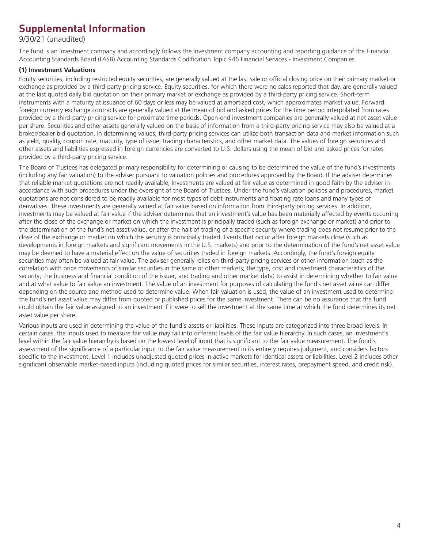# **Supplemental Information**

9/30/21 (unaudited)

The fund is an investment company and accordingly follows the investment company accounting and reporting guidance of the Financial Accounting Standards Board (FASB) Accounting Standards Codification Topic 946 Financial Services - Investment Companies.

## **(1) Investment Valuations**

Equity securities, including restricted equity securities, are generally valued at the last sale or official closing price on their primary market or exchange as provided by a third-party pricing service. Equity securities, for which there were no sales reported that day, are generally valued at the last quoted daily bid quotation on their primary market or exchange as provided by a third-party pricing service. Short-term instruments with a maturity at issuance of 60 days or less may be valued at amortized cost, which approximates market value. Forward foreign currency exchange contracts are generally valued at the mean of bid and asked prices for the time period interpolated from rates provided by a third-party pricing service for proximate time periods. Open-end investment companies are generally valued at net asset value per share. Securities and other assets generally valued on the basis of information from a third-party pricing service may also be valued at a broker/dealer bid quotation. In determining values, third-party pricing services can utilize both transaction data and market information such as yield, quality, coupon rate, maturity, type of issue, trading characteristics, and other market data. The values of foreign securities and other assets and liabilities expressed in foreign currencies are converted to U.S. dollars using the mean of bid and asked prices for rates provided by a third-party pricing service.

The Board of Trustees has delegated primary responsibility for determining or causing to be determined the value of the fund's investments (including any fair valuation) to the adviser pursuant to valuation policies and procedures approved by the Board. If the adviser determines that reliable market quotations are not readily available, investments are valued at fair value as determined in good faith by the adviser in accordance with such procedures under the oversight of the Board of Trustees. Under the fund's valuation policies and procedures, market quotations are not considered to be readily available for most types of debt instruments and floating rate loans and many types of derivatives. These investments are generally valued at fair value based on information from third-party pricing services. In addition, investments may be valued at fair value if the adviser determines that an investment's value has been materially affected by events occurring after the close of the exchange or market on which the investment is principally traded (such as foreign exchange or market) and prior to the determination of the fund's net asset value, or after the halt of trading of a specific security where trading does not resume prior to the close of the exchange or market on which the security is principally traded. Events that occur after foreign markets close (such as developments in foreign markets and significant movements in the U.S. markets) and prior to the determination of the fund's net asset value may be deemed to have a material effect on the value of securities traded in foreign markets. Accordingly, the fund's foreign equity securities may often be valued at fair value. The adviser generally relies on third-party pricing services or other information (such as the correlation with price movements of similar securities in the same or other markets; the type, cost and investment characteristics of the security; the business and financial condition of the issuer; and trading and other market data) to assist in determining whether to fair value and at what value to fair value an investment. The value of an investment for purposes of calculating the fund's net asset value can differ depending on the source and method used to determine value. When fair valuation is used, the value of an investment used to determine the fund's net asset value may differ from quoted or published prices for the same investment. There can be no assurance that the fund could obtain the fair value assigned to an investment if it were to sell the investment at the same time at which the fund determines its net asset value per share.

Various inputs are used in determining the value of the fund's assets or liabilities. These inputs are categorized into three broad levels. In certain cases, the inputs used to measure fair value may fall into different levels of the fair value hierarchy. In such cases, an investment's level within the fair value hierarchy is based on the lowest level of input that is significant to the fair value measurement. The fund's assessment of the significance of a particular input to the fair value measurement in its entirety requires judgment, and considers factors specific to the investment. Level 1 includes unadjusted quoted prices in active markets for identical assets or liabilities. Level 2 includes other significant observable market-based inputs (including quoted prices for similar securities, interest rates, prepayment speed, and credit risk).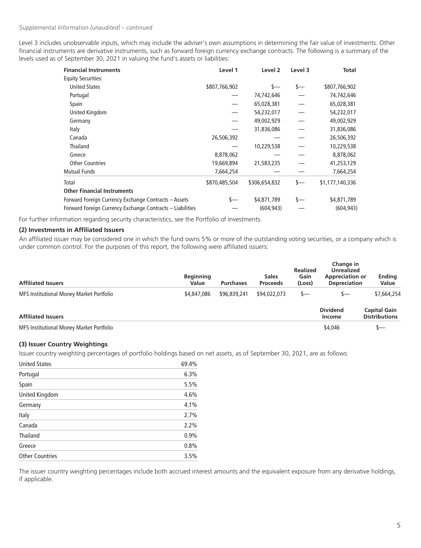## *Supplemental Information (unaudited) – continued*

Level 3 includes unobservable inputs, which may include the adviser's own assumptions in determining the fair value of investments. Other financial instruments are derivative instruments, such as forward foreign currency exchange contracts. The following is a summary of the levels used as of September 30, 2021 in valuing the fund's assets or liabilities:

| <b>Financial Instruments</b>                              | Level 1       | Level 2       | Level 3 | Total           |
|-----------------------------------------------------------|---------------|---------------|---------|-----------------|
| <b>Equity Securities:</b>                                 |               |               |         |                 |
| <b>United States</b>                                      | \$807,766,902 | $\mathsf{S}-$ | s—      | \$807,766,902   |
| Portugal                                                  |               | 74,742,646    |         | 74,742,646      |
| Spain                                                     |               | 65,028,381    |         | 65,028,381      |
| United Kingdom                                            |               | 54,232,017    |         | 54,232,017      |
| Germany                                                   |               | 49,002,929    |         | 49,002,929      |
| Italy                                                     |               | 31,836,086    |         | 31,836,086      |
| Canada                                                    | 26,506,392    |               |         | 26,506,392      |
| Thailand                                                  |               | 10,229,538    |         | 10,229,538      |
| Greece                                                    | 8,878,062     |               |         | 8,878,062       |
| <b>Other Countries</b>                                    | 19,669,894    | 21,583,235    |         | 41,253,129      |
| <b>Mutual Funds</b>                                       | 7,664,254     |               |         | 7,664,254       |
| Total                                                     | \$870,485,504 | \$306,654,832 | s—      | \$1,177,140,336 |
| <b>Other Financial Instruments</b>                        |               |               |         |                 |
| Forward Foreign Currency Exchange Contracts – Assets      | s—            | \$4,871,789   |         | \$4,871,789     |
| Forward Foreign Currency Exchange Contracts - Liabilities |               | (604, 943)    |         | (604, 943)      |

For further information regarding security characteristics, see the Portfolio of Investments.

#### **(2) Investments in Affiliated Issuers**

An affiliated issuer may be considered one in which the fund owns 5% or more of the outstanding voting securities, or a company which is under common control. For the purposes of this report, the following were affiliated issuers:

| <b>Affiliated Issuers</b>                | <b>Beginning</b><br>Value | <b>Purchases</b> | <b>Sales</b><br><b>Proceeds</b> | <b>Realized</b><br>Gain<br>(Loss) | Change in<br><b>Unrealized</b><br><b>Appreciation or</b><br><b>Depreciation</b> | <b>Ending</b><br>Value                      |
|------------------------------------------|---------------------------|------------------|---------------------------------|-----------------------------------|---------------------------------------------------------------------------------|---------------------------------------------|
| MFS Institutional Money Market Portfolio | \$4,847,086               | \$96,839,241     | \$94,022,073                    | s—                                | s—                                                                              | \$7,664,254                                 |
| <b>Affiliated Issuers</b>                |                           |                  |                                 |                                   | <b>Dividend</b><br>Income                                                       | <b>Capital Gain</b><br><b>Distributions</b> |
| MFS Institutional Money Market Portfolio |                           |                  |                                 |                                   | \$4,046                                                                         | \—                                          |

# **(3) Issuer Country Weightings**

Issuer country weighting percentages of portfolio holdings based on net assets, as of September 30, 2021, are as follows:

| <b>United States</b>   | 69.4% |
|------------------------|-------|
| Portugal               | 6.3%  |
| Spain                  | 5.5%  |
| United Kingdom         | 4.6%  |
| Germany                | 4.1%  |
| Italy                  | 2.7%  |
| Canada                 | 2.2%  |
| <b>Thailand</b>        | 0.9%  |
| Greece                 | 0.8%  |
| <b>Other Countries</b> | 3.5%  |

The issuer country weighting percentages include both accrued interest amounts and the equivalent exposure from any derivative holdings, if applicable.